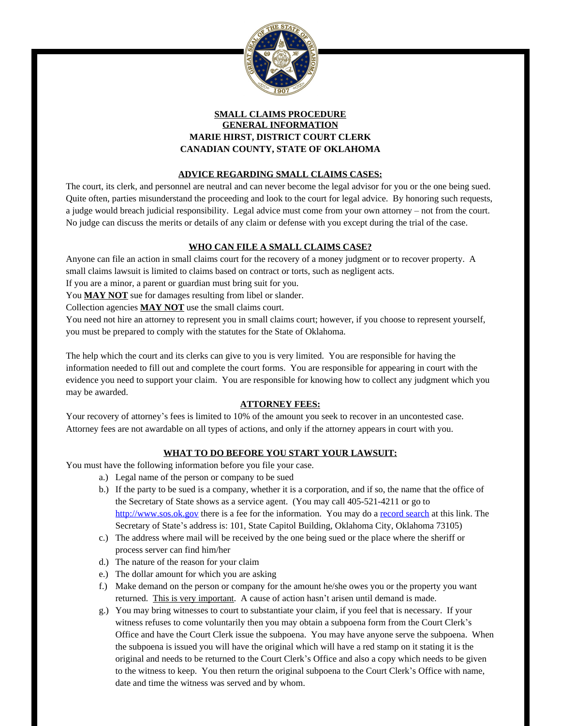

# **SMALL CLAIMS PROCEDURE GENERAL INFORMATION MARIE HIRST, DISTRICT COURT CLERK CANADIAN COUNTY, STATE OF OKLAHOMA**

# **ADVICE REGARDING SMALL CLAIMS CASES:**

The court, its clerk, and personnel are neutral and can never become the legal advisor for you or the one being sued. Quite often, parties misunderstand the proceeding and look to the court for legal advice. By honoring such requests, a judge would breach judicial responsibility. Legal advice must come from your own attorney – not from the court. No judge can discuss the merits or details of any claim or defense with you except during the trial of the case.

# **WHO CAN FILE A SMALL CLAIMS CASE?**

Anyone can file an action in small claims court for the recovery of a money judgment or to recover property. A small claims lawsuit is limited to claims based on contract or torts, such as negligent acts.

If you are a minor, a parent or guardian must bring suit for you.

You **MAY NOT** sue for damages resulting from libel or slander.

Collection agencies **MAY NOT** use the small claims court.

You need not hire an attorney to represent you in small claims court; however, if you choose to represent yourself, you must be prepared to comply with the statutes for the State of Oklahoma.

The help which the court and its clerks can give to you is very limited. You are responsible for having the information needed to fill out and complete the court forms. You are responsible for appearing in court with the evidence you need to support your claim. You are responsible for knowing how to collect any judgment which you may be awarded.

#### **ATTORNEY FEES:**

Your recovery of attorney's fees is limited to 10% of the amount you seek to recover in an uncontested case. Attorney fees are not awardable on all types of actions, and only if the attorney appears in court with you.

# **WHAT TO DO BEFORE YOU START YOUR LAWSUIT:**

You must have the following information before you file your case.

- a.) Legal name of the person or company to be sued
- b.) If the party to be sued is a company, whether it is a corporation, and if so, the name that the office of the Secretary of State shows as a service agent. (You may call 405-521-4211 or go to <http://www.sos.ok.gov>there is a fee for the information. You may do a [record search](https://www.sos.ok.gov/business/corp/records.aspx) at this link. The Secretary of State's address is: 101, State Capitol Building, Oklahoma City, Oklahoma 73105)
- c.) The address where mail will be received by the one being sued or the place where the sheriff or process server can find him/her
- d.) The nature of the reason for your claim
- e.) The dollar amount for which you are asking
- f.) Make demand on the person or company for the amount he/she owes you or the property you want returned. This is very important. A cause of action hasn't arisen until demand is made.
- g.) You may bring witnesses to court to substantiate your claim, if you feel that is necessary. If your witness refuses to come voluntarily then you may obtain a subpoena form from the Court Clerk's Office and have the Court Clerk issue the subpoena. You may have anyone serve the subpoena. When the subpoena is issued you will have the original which will have a red stamp on it stating it is the original and needs to be returned to the Court Clerk's Office and also a copy which needs to be given to the witness to keep. You then return the original subpoena to the Court Clerk's Office with name, date and time the witness was served and by whom.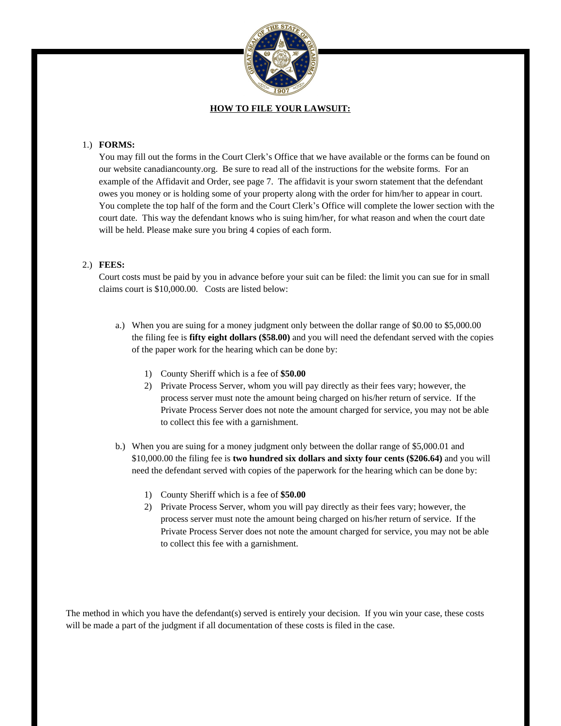

#### **HOW TO FILE YOUR LAWSUIT:**

#### 1.) **FORMS:**

You may fill out the forms in the Court Clerk's Office that we have available or the forms can be found on our website canadiancounty.org. Be sure to read all of the instructions for the website forms. For an example of the Affidavit and Order, see page 7. The affidavit is your sworn statement that the defendant owes you money or is holding some of your property along with the order for him/her to appear in court. You complete the top half of the form and the Court Clerk's Office will complete the lower section with the court date. This way the defendant knows who is suing him/her, for what reason and when the court date will be held. Please make sure you bring 4 copies of each form.

### 2.) **FEES:**

Court costs must be paid by you in advance before your suit can be filed: the limit you can sue for in small claims court is \$10,000.00. Costs are listed below:

- a.) When you are suing for a money judgment only between the dollar range of \$0.00 to \$5,000.00 the filing fee is **fifty eight dollars (\$58.00)** and you will need the defendant served with the copies of the paper work for the hearing which can be done by:
	- 1) County Sheriff which is a fee of **\$50.00**
	- 2) Private Process Server, whom you will pay directly as their fees vary; however, the process server must note the amount being charged on his/her return of service. If the Private Process Server does not note the amount charged for service, you may not be able to collect this fee with a garnishment.
- b.) When you are suing for a money judgment only between the dollar range of \$5,000.01 and \$10,000.00 the filing fee is **two hundred six dollars and sixty four cents (\$206.64)** and you will need the defendant served with copies of the paperwork for the hearing which can be done by:
	- 1) County Sheriff which is a fee of **\$50.00**
	- 2) Private Process Server, whom you will pay directly as their fees vary; however, the process server must note the amount being charged on his/her return of service. If the Private Process Server does not note the amount charged for service, you may not be able to collect this fee with a garnishment.

The method in which you have the defendant(s) served is entirely your decision. If you win your case, these costs will be made a part of the judgment if all documentation of these costs is filed in the case.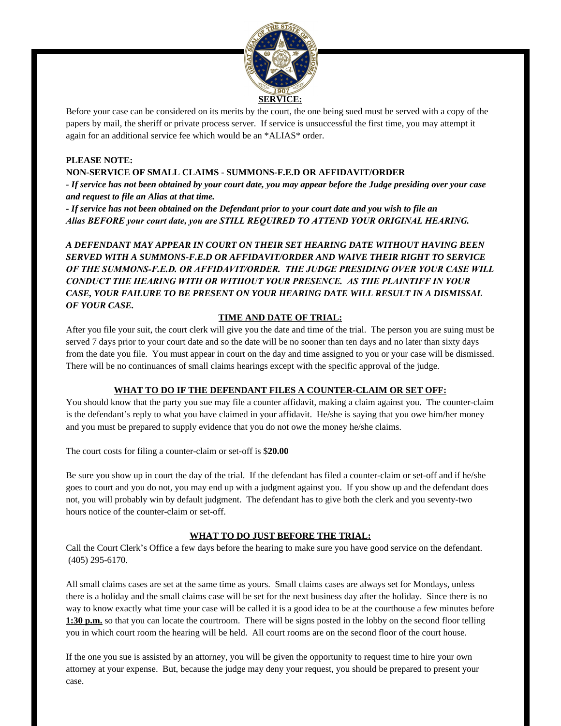

Before your case can be considered on its merits by the court, the one being sued must be served with a copy of the papers by mail, the sheriff or private process server. If service is unsuccessful the first time, you may attempt it again for an additional service fee which would be an \*ALIAS\* order.

### **PLEASE NOTE:**

### **NON-SERVICE OF SMALL CLAIMS - SUMMONS-F.E.D OR AFFIDAVIT/ORDER**

**-** *If service has not been obtained by your court date, you may appear before the Judge presiding over your case and request to file an Alias at that time.*

**-** *If service has not been obtained on the Defendant prior to your court date and you wish to file an Alias BEFORE your court date, you are STILL REQUIRED TO ATTEND YOUR ORIGINAL HEARING.*

*A DEFENDANT MAY APPEAR IN COURT ON THEIR SET HEARING DATE WITHOUT HAVING BEEN SERVED WITH A SUMMONS-F.E.D OR AFFIDAVIT/ORDER AND WAIVE THEIR RIGHT TO SERVICE OF THE SUMMONS-F.E.D. OR AFFIDAVIT/ORDER. THE JUDGE PRESIDING OVER YOUR CASE WILL CONDUCT THE HEARING WITH OR WITHOUT YOUR PRESENCE. AS THE PLAINTIFF IN YOUR CASE, YOUR FAILURE TO BE PRESENT ON YOUR HEARING DATE WILL RESULT IN A DISMISSAL OF YOUR CASE.*

### **TIME AND DATE OF TRIAL:**

After you file your suit, the court clerk will give you the date and time of the trial. The person you are suing must be served 7 days prior to your court date and so the date will be no sooner than ten days and no later than sixty days from the date you file. You must appear in court on the day and time assigned to you or your case will be dismissed. There will be no continuances of small claims hearings except with the specific approval of the judge.

#### **WHAT TO DO IF THE DEFENDANT FILES A COUNTER-CLAIM OR SET OFF:**

You should know that the party you sue may file a counter affidavit, making a claim against you. The counter-claim is the defendant's reply to what you have claimed in your affidavit. He/she is saying that you owe him/her money and you must be prepared to supply evidence that you do not owe the money he/she claims.

The court costs for filing a counter-claim or set-off is \$**20.00**

Be sure you show up in court the day of the trial. If the defendant has filed a counter-claim or set-off and if he/she goes to court and you do not, you may end up with a judgment against you. If you show up and the defendant does not, you will probably win by default judgment. The defendant has to give both the clerk and you seventy-two hours notice of the counter-claim or set-off.

#### **WHAT TO DO JUST BEFORE THE TRIAL:**

Call the Court Clerk's Office a few days before the hearing to make sure you have good service on the defendant. (405) 295-6170.

All small claims cases are set at the same time as yours. Small claims cases are always set for Mondays, unless there is a holiday and the small claims case will be set for the next business day after the holiday. Since there is no way to know exactly what time your case will be called it is a good idea to be at the courthouse a few minutes before **1:30 p.m.** so that you can locate the courtroom. There will be signs posted in the lobby on the second floor telling you in which court room the hearing will be held. All court rooms are on the second floor of the court house.

If the one you sue is assisted by an attorney, you will be given the opportunity to request time to hire your own attorney at your expense. But, because the judge may deny your request, you should be prepared to present your case.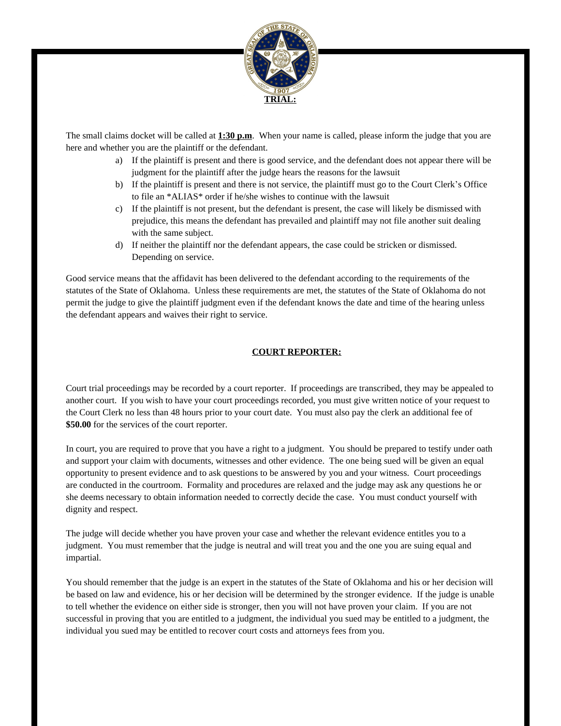

The small claims docket will be called at **1:30 p.m**. When your name is called, please inform the judge that you are here and whether you are the plaintiff or the defendant.

- a) If the plaintiff is present and there is good service, and the defendant does not appear there will be judgment for the plaintiff after the judge hears the reasons for the lawsuit
- b) If the plaintiff is present and there is not service, the plaintiff must go to the Court Clerk's Office to file an \*ALIAS\* order if he/she wishes to continue with the lawsuit
- c) If the plaintiff is not present, but the defendant is present, the case will likely be dismissed with prejudice, this means the defendant has prevailed and plaintiff may not file another suit dealing with the same subject.
- d) If neither the plaintiff nor the defendant appears, the case could be stricken or dismissed. Depending on service.

Good service means that the affidavit has been delivered to the defendant according to the requirements of the statutes of the State of Oklahoma. Unless these requirements are met, the statutes of the State of Oklahoma do not permit the judge to give the plaintiff judgment even if the defendant knows the date and time of the hearing unless the defendant appears and waives their right to service.

### **COURT REPORTER:**

Court trial proceedings may be recorded by a court reporter. If proceedings are transcribed, they may be appealed to another court. If you wish to have your court proceedings recorded, you must give written notice of your request to the Court Clerk no less than 48 hours prior to your court date. You must also pay the clerk an additional fee of **\$50.00** for the services of the court reporter.

In court, you are required to prove that you have a right to a judgment. You should be prepared to testify under oath and support your claim with documents, witnesses and other evidence. The one being sued will be given an equal opportunity to present evidence and to ask questions to be answered by you and your witness. Court proceedings are conducted in the courtroom. Formality and procedures are relaxed and the judge may ask any questions he or she deems necessary to obtain information needed to correctly decide the case. You must conduct yourself with dignity and respect.

The judge will decide whether you have proven your case and whether the relevant evidence entitles you to a judgment. You must remember that the judge is neutral and will treat you and the one you are suing equal and impartial.

You should remember that the judge is an expert in the statutes of the State of Oklahoma and his or her decision will be based on law and evidence, his or her decision will be determined by the stronger evidence. If the judge is unable to tell whether the evidence on either side is stronger, then you will not have proven your claim. If you are not successful in proving that you are entitled to a judgment, the individual you sued may be entitled to a judgment, the individual you sued may be entitled to recover court costs and attorneys fees from you.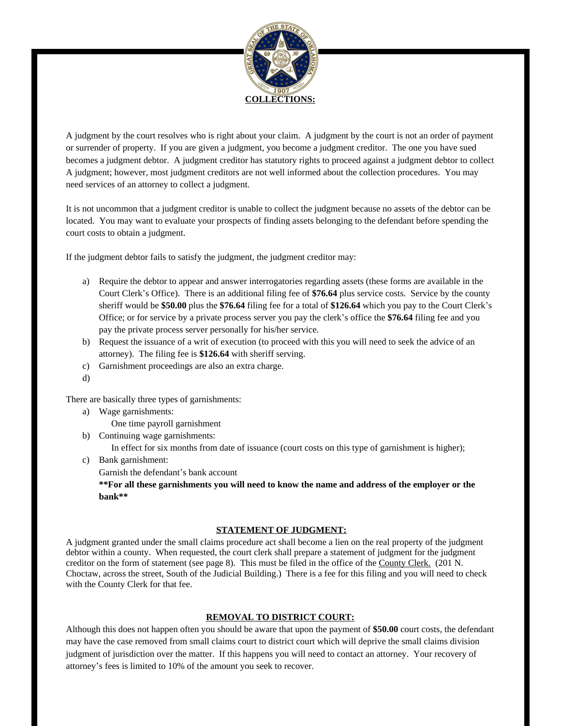

A judgment by the court resolves who is right about your claim. A judgment by the court is not an order of payment or surrender of property. If you are given a judgment, you become a judgment creditor. The one you have sued becomes a judgment debtor. A judgment creditor has statutory rights to proceed against a judgment debtor to collect A judgment; however, most judgment creditors are not well informed about the collection procedures. You may need services of an attorney to collect a judgment.

It is not uncommon that a judgment creditor is unable to collect the judgment because no assets of the debtor can be located. You may want to evaluate your prospects of finding assets belonging to the defendant before spending the court costs to obtain a judgment.

If the judgment debtor fails to satisfy the judgment, the judgment creditor may:

- a) Require the debtor to appear and answer interrogatories regarding assets (these forms are available in the Court Clerk's Office). There is an additional filing fee of **\$76.64** plus service costs. Service by the county sheriff would be **\$50.00** plus the **\$76.64** filing fee for a total of **\$126.64** which you pay to the Court Clerk's Office; or for service by a private process server you pay the clerk's office the **\$76.64** filing fee and you pay the private process server personally for his/her service.
- b) Request the issuance of a writ of execution (to proceed with this you will need to seek the advice of an attorney). The filing fee is **\$126.64** with sheriff serving.
- c) Garnishment proceedings are also an extra charge.
- d)

There are basically three types of garnishments:

- a) Wage garnishments:
	- One time payroll garnishment
- b) Continuing wage garnishments:

In effect for six months from date of issuance (court costs on this type of garnishment is higher);

- c) Bank garnishment:
	- Garnish the defendant's bank account

**\*\*For all these garnishments you will need to know the name and address of the employer or the bank\*\*** 

#### **STATEMENT OF JUDGMENT:**

A judgment granted under the small claims procedure act shall become a lien on the real property of the judgment debtor within a county. When requested, the court clerk shall prepare a statement of judgment for the judgment creditor on the form of statement (see page 8). This must be filed in the office of the County Clerk. (201 N. Choctaw, across the street, South of the Judicial Building.) There is a fee for this filing and you will need to check with the County Clerk for that fee.

#### **REMOVAL TO DISTRICT COURT:**

Although this does not happen often you should be aware that upon the payment of **\$50.00** court costs, the defendant may have the case removed from small claims court to district court which will deprive the small claims division judgment of jurisdiction over the matter. If this happens you will need to contact an attorney. Your recovery of attorney's fees is limited to 10% of the amount you seek to recover.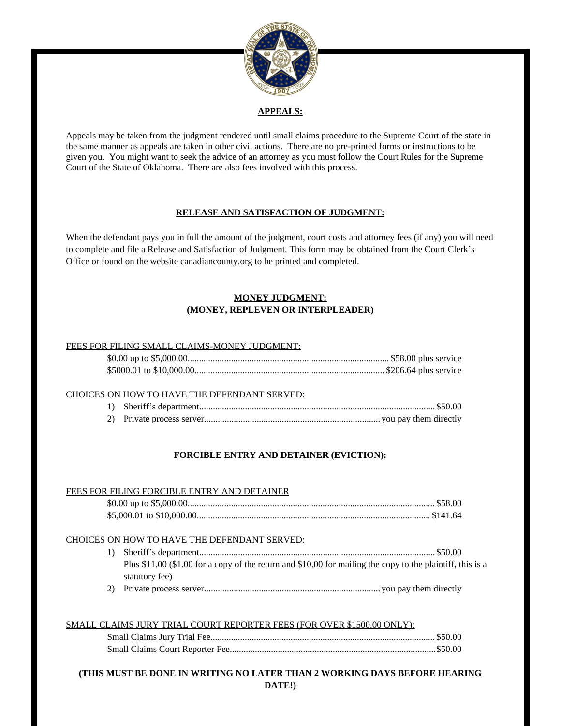

### **APPEALS:**

Appeals may be taken from the judgment rendered until small claims procedure to the Supreme Court of the state in the same manner as appeals are taken in other civil actions. There are no pre-printed forms or instructions to be given you. You might want to seek the advice of an attorney as you must follow the Court Rules for the Supreme Court of the State of Oklahoma. There are also fees involved with this process.

# **RELEASE AND SATISFACTION OF JUDGMENT:**

When the defendant pays you in full the amount of the judgment, court costs and attorney fees (if any) you will need to complete and file a Release and Satisfaction of Judgment. This form may be obtained from the Court Clerk's Office or found on the website canadiancounty.org to be printed and completed.

# **MONEY JUDGMENT: (MONEY, REPLEVEN OR INTERPLEADER)**

#### FEES FOR FILING SMALL CLAIMS-MONEY JUDGMENT:

#### CHOICES ON HOW TO HAVE THE DEFENDANT SERVED:

# **FORCIBLE ENTRY AND DETAINER (EVICTION):**

#### FEES FOR FILING FORCIBLE ENTRY AND DETAINER

#### CHOICES ON HOW TO HAVE THE DEFENDANT SERVED:

- 1) Sheriff's department....................................................................................................... \$50.00 Plus \$11.00 (\$1.00 for a copy of the return and \$10.00 for mailing the copy to the plaintiff, this is a statutory fee)
- 2) Private process server............................................................................. you pay them directly

#### SMALL CLAIMS JURY TRIAL COURT REPORTER FEES (FOR OVER \$1500.00 ONLY):

# **(THIS MUST BE DONE IN WRITING NO LATER THAN 2 WORKING DAYS BEFORE HEARING DATE!)**